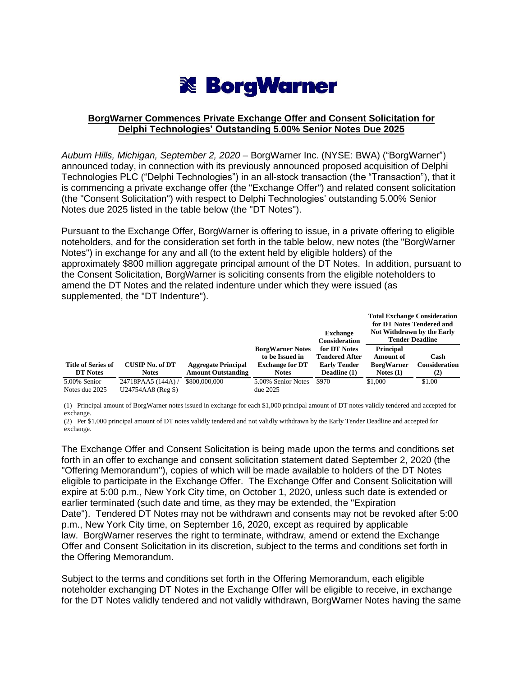# **※ BorgWarner**

### **BorgWarner Commences Private Exchange Offer and Consent Solicitation for Delphi Technologies' Outstanding 5.00% Senior Notes Due 2025**

*Auburn Hills, Michigan, September 2, 2020* – BorgWarner Inc. (NYSE: BWA) ("BorgWarner") announced today, in connection with its previously announced proposed acquisition of Delphi Technologies PLC ("Delphi Technologies") in an all-stock transaction (the "Transaction"), that it is commencing a private exchange offer (the "Exchange Offer") and related consent solicitation (the "Consent Solicitation") with respect to Delphi Technologies' outstanding 5.00% Senior Notes due 2025 listed in the table below (the "DT Notes").

Pursuant to the Exchange Offer, BorgWarner is offering to issue, in a private offering to eligible noteholders, and for the consideration set forth in the table below, new notes (the "BorgWarner Notes") in exchange for any and all (to the extent held by eligible holders) of the approximately \$800 million aggregate principal amount of the DT Notes. In addition, pursuant to the Consent Solicitation, BorgWarner is soliciting consents from the eligible noteholders to amend the DT Notes and the related indenture under which they were issued (as supplemented, the "DT Indenture").

|                           |                        |                            |                         | <b>Exchange</b><br><b>Consideration</b> | <b>Total Exchange Consideration</b><br>for DT Notes Tendered and<br>Not Withdrawn by the Early<br><b>Tender Deadline</b> |                      |
|---------------------------|------------------------|----------------------------|-------------------------|-----------------------------------------|--------------------------------------------------------------------------------------------------------------------------|----------------------|
|                           |                        |                            | <b>BorgWarner Notes</b> | for DT Notes                            | <b>Principal</b>                                                                                                         |                      |
|                           |                        |                            | to be Issued in         | <b>Tendered After</b>                   | Amount of                                                                                                                | Cash                 |
| <b>Title of Series of</b> | <b>CUSIP No. of DT</b> | <b>Aggregate Principal</b> | <b>Exchange for DT</b>  | <b>Early Tender</b>                     | <b>BorgWarner</b>                                                                                                        | <b>Consideration</b> |
| <b>DT</b> Notes           | <b>Notes</b>           | <b>Amount Outstanding</b>  | <b>Notes</b>            | Deadline (1)                            | Notes $(1)$                                                                                                              | (2)                  |
| 5.00% Senior              | 24718PAA5 (144A)/      | \$800,000,000              | 5.00% Senior Notes      | \$970                                   | \$1,000                                                                                                                  | \$1.00               |
| Notes due 2025            | U24754AA8 (Reg S)      |                            | due~2025                |                                         |                                                                                                                          |                      |

(1) Principal amount of BorgWarner notes issued in exchange for each \$1,000 principal amount of DT notes validly tendered and accepted for exchange.

(2) Per \$1,000 principal amount of DT notes validly tendered and not validly withdrawn by the Early Tender Deadline and accepted for exchange.

The Exchange Offer and Consent Solicitation is being made upon the terms and conditions set forth in an offer to exchange and consent solicitation statement dated September 2, 2020 (the "Offering Memorandum"), copies of which will be made available to holders of the DT Notes eligible to participate in the Exchange Offer. The Exchange Offer and Consent Solicitation will expire at 5:00 p.m., New York City time, on October 1, 2020, unless such date is extended or earlier terminated (such date and time, as they may be extended, the "Expiration Date"). Tendered DT Notes may not be withdrawn and consents may not be revoked after 5:00 p.m., New York City time, on September 16, 2020, except as required by applicable law. BorgWarner reserves the right to terminate, withdraw, amend or extend the Exchange Offer and Consent Solicitation in its discretion, subject to the terms and conditions set forth in the Offering Memorandum.

Subject to the terms and conditions set forth in the Offering Memorandum, each eligible noteholder exchanging DT Notes in the Exchange Offer will be eligible to receive, in exchange for the DT Notes validly tendered and not validly withdrawn, BorgWarner Notes having the same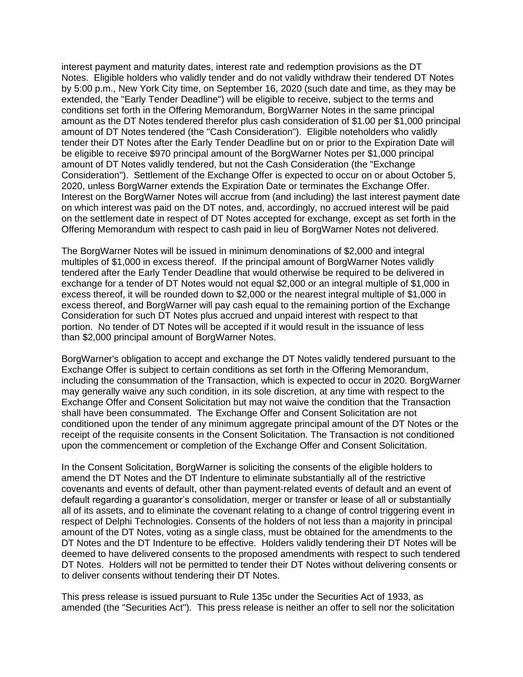interest payment and maturity dates, interest rate and redemption provisions as the DT Notes. Eligible holders who validly tender and do not validly withdraw their tendered DT Notes by 5:00 p.m., New York City time, on September 16, 2020 (such date and time, as they may be extended, the "Early Tender Deadline") will be eligible to receive, subject to the terms and conditions set forth in the Offering Memorandum, BorgWarner Notes in the same principal amount as the DT Notes tendered therefor plus cash consideration of \$1.00 per \$1,000 principal amount of DT Notes tendered (the "Cash Consideration"). Eligible noteholders who validly tender their DT Notes after the Early Tender Deadline but on or prior to the Expiration Date will be eligible to receive \$970 principal amount of the BorgWarner Notes per \$1,000 principal amount of DT Notes validly tendered, but not the Cash Consideration (the "Exchange Consideration"). Settlement of the Exchange Offer is expected to occur on or about October 5, 2020, unless BorgWarner extends the Expiration Date or terminates the Exchange Offer. Interest on the BorgWarner Notes will accrue from (and including) the last interest payment date on which interest was paid on the DT notes, and, accordingly, no accrued interest will be paid on the settlement date in respect of DT Notes accepted for exchange, except as set forth in the Offering Memorandum with respect to cash paid in lieu of BorgWarner Notes not delivered.

The BorgWarner Notes will be issued in minimum denominations of \$2,000 and integral multiples of \$1,000 in excess thereof. If the principal amount of BorgWarner Notes validly tendered after the Early Tender Deadline that would otherwise be required to be delivered in exchange for a tender of DT Notes would not equal \$2,000 or an integral multiple of \$1,000 in excess thereof, it will be rounded down to \$2,000 or the nearest integral multiple of \$1,000 in excess thereof, and BorgWarner will pay cash equal to the remaining portion of the Exchange Consideration for such DT Notes plus accrued and unpaid interest with respect to that portion. No tender of DT Notes will be accepted if it would result in the issuance of less than \$2,000 principal amount of BorgWarner Notes.

BorgWarner's obligation to accept and exchange the DT Notes validly tendered pursuant to the Exchange Offer is subject to certain conditions as set forth in the Offering Memorandum, including the consummation of the Transaction, which is expected to occur in 2020. BorgWarner may generally waive any such condition, in its sole discretion, at any time with respect to the Exchange Offer and Consent Solicitation but may not waive the condition that the Transaction shall have been consummated. The Exchange Offer and Consent Solicitation are not conditioned upon the tender of any minimum aggregate principal amount of the DT Notes or the receipt of the requisite consents in the Consent Solicitation. The Transaction is not conditioned upon the commencement or completion of the Exchange Offer and Consent Solicitation.

In the Consent Solicitation, BorgWarner is soliciting the consents of the eligible holders to amend the DT Notes and the DT Indenture to eliminate substantially all of the restrictive covenants and events of default, other than payment-related events of default and an event of default regarding a guarantor's consolidation, merger or transfer or lease of all or substantially all of its assets, and to eliminate the covenant relating to a change of control triggering event in respect of Delphi Technologies. Consents of the holders of not less than a majority in principal amount of the DT Notes, voting as a single class, must be obtained for the amendments to the DT Notes and the DT Indenture to be effective. Holders validly tendering their DT Notes will be deemed to have delivered consents to the proposed amendments with respect to such tendered DT Notes. Holders will not be permitted to tender their DT Notes without delivering consents or to deliver consents without tendering their DT Notes.

This press release is issued pursuant to Rule 135c under the Securities Act of 1933, as amended (the "Securities Act"). This press release is neither an offer to sell nor the solicitation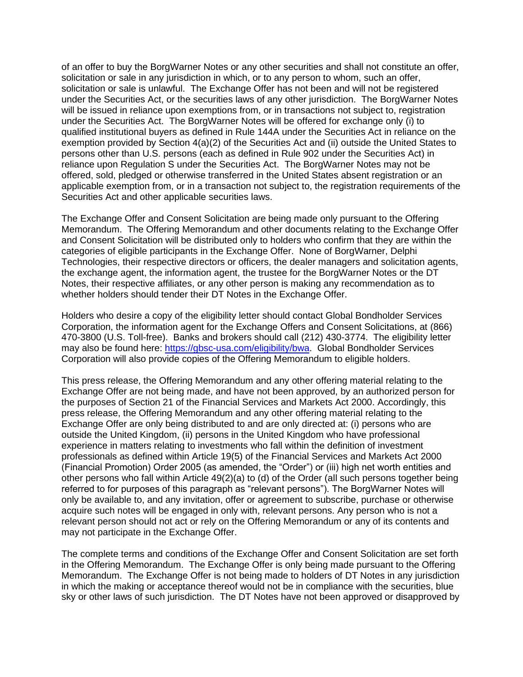of an offer to buy the BorgWarner Notes or any other securities and shall not constitute an offer, solicitation or sale in any jurisdiction in which, or to any person to whom, such an offer, solicitation or sale is unlawful. The Exchange Offer has not been and will not be registered under the Securities Act, or the securities laws of any other jurisdiction. The BorgWarner Notes will be issued in reliance upon exemptions from, or in transactions not subject to, registration under the Securities Act. The BorgWarner Notes will be offered for exchange only (i) to qualified institutional buyers as defined in Rule 144A under the Securities Act in reliance on the exemption provided by Section 4(a)(2) of the Securities Act and (ii) outside the United States to persons other than U.S. persons (each as defined in Rule 902 under the Securities Act) in reliance upon Regulation S under the Securities Act. The BorgWarner Notes may not be offered, sold, pledged or otherwise transferred in the United States absent registration or an applicable exemption from, or in a transaction not subject to, the registration requirements of the Securities Act and other applicable securities laws.

The Exchange Offer and Consent Solicitation are being made only pursuant to the Offering Memorandum. The Offering Memorandum and other documents relating to the Exchange Offer and Consent Solicitation will be distributed only to holders who confirm that they are within the categories of eligible participants in the Exchange Offer. None of BorgWarner, Delphi Technologies, their respective directors or officers, the dealer managers and solicitation agents, the exchange agent, the information agent, the trustee for the BorgWarner Notes or the DT Notes, their respective affiliates, or any other person is making any recommendation as to whether holders should tender their DT Notes in the Exchange Offer.

Holders who desire a copy of the eligibility letter should contact Global Bondholder Services Corporation, the information agent for the Exchange Offers and Consent Solicitations, at (866) 470-3800 (U.S. Toll-free). Banks and brokers should call (212) 430-3774. The eligibility letter may also be found here: [https://gbsc-usa.com/eligibility/bwa.](https://urldefense.proofpoint.com/v2/url?u=https-3A__gbsc-2Dusa.com_eligibility_bwa&d=DwMFAg&c=Rlm5WhGmPEr8srpDE4r86Q&r=J_hov6FOdTuwWl2bZitCWvljORzCi7Ch_4uxAM3ye30&m=HPWqlD28kXEQspMc0L3QyertOzVsrPU6BvYW2b5plBw&s=Bwxawsd6GZz4V6vWD0GC2H1ifH5qZ6SCIcuzTXIJE84&e=) Global Bondholder Services Corporation will also provide copies of the Offering Memorandum to eligible holders.

This press release, the Offering Memorandum and any other offering material relating to the Exchange Offer are not being made, and have not been approved, by an authorized person for the purposes of Section 21 of the Financial Services and Markets Act 2000. Accordingly, this press release, the Offering Memorandum and any other offering material relating to the Exchange Offer are only being distributed to and are only directed at: (i) persons who are outside the United Kingdom, (ii) persons in the United Kingdom who have professional experience in matters relating to investments who fall within the definition of investment professionals as defined within Article 19(5) of the Financial Services and Markets Act 2000 (Financial Promotion) Order 2005 (as amended, the "Order") or (iii) high net worth entities and other persons who fall within Article 49(2)(a) to (d) of the Order (all such persons together being referred to for purposes of this paragraph as "relevant persons"). The BorgWarner Notes will only be available to, and any invitation, offer or agreement to subscribe, purchase or otherwise acquire such notes will be engaged in only with, relevant persons. Any person who is not a relevant person should not act or rely on the Offering Memorandum or any of its contents and may not participate in the Exchange Offer.

The complete terms and conditions of the Exchange Offer and Consent Solicitation are set forth in the Offering Memorandum. The Exchange Offer is only being made pursuant to the Offering Memorandum. The Exchange Offer is not being made to holders of DT Notes in any jurisdiction in which the making or acceptance thereof would not be in compliance with the securities, blue sky or other laws of such jurisdiction. The DT Notes have not been approved or disapproved by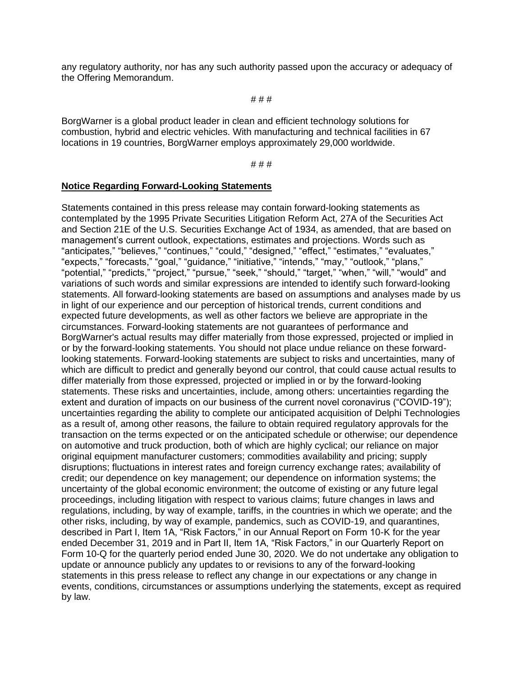any regulatory authority, nor has any such authority passed upon the accuracy or adequacy of the Offering Memorandum.

#### # # #

BorgWarner is a global product leader in clean and efficient technology solutions for combustion, hybrid and electric vehicles. With manufacturing and technical facilities in 67 locations in 19 countries, BorgWarner employs approximately 29,000 worldwide.

#### # # #

#### **Notice Regarding Forward-Looking Statements**

Statements contained in this press release may contain forward-looking statements as contemplated by the 1995 Private Securities Litigation Reform Act, 27A of the Securities Act and Section 21E of the U.S. Securities Exchange Act of 1934, as amended, that are based on management's current outlook, expectations, estimates and projections. Words such as "anticipates," "believes," "continues," "could," "designed," "effect," "estimates," "evaluates," "expects," "forecasts," "goal," "guidance," "initiative," "intends," "may," "outlook," "plans," "potential," "predicts," "project," "pursue," "seek," "should," "target," "when," "will," "would" and variations of such words and similar expressions are intended to identify such forward-looking statements. All forward-looking statements are based on assumptions and analyses made by us in light of our experience and our perception of historical trends, current conditions and expected future developments, as well as other factors we believe are appropriate in the circumstances. Forward-looking statements are not guarantees of performance and BorgWarner's actual results may differ materially from those expressed, projected or implied in or by the forward-looking statements. You should not place undue reliance on these forwardlooking statements. Forward-looking statements are subject to risks and uncertainties, many of which are difficult to predict and generally beyond our control, that could cause actual results to differ materially from those expressed, projected or implied in or by the forward-looking statements. These risks and uncertainties, include, among others: uncertainties regarding the extent and duration of impacts on our business of the current novel coronavirus ("COVID-19"); uncertainties regarding the ability to complete our anticipated acquisition of Delphi Technologies as a result of, among other reasons, the failure to obtain required regulatory approvals for the transaction on the terms expected or on the anticipated schedule or otherwise; our dependence on automotive and truck production, both of which are highly cyclical; our reliance on major original equipment manufacturer customers; commodities availability and pricing; supply disruptions; fluctuations in interest rates and foreign currency exchange rates; availability of credit; our dependence on key management; our dependence on information systems; the uncertainty of the global economic environment; the outcome of existing or any future legal proceedings, including litigation with respect to various claims; future changes in laws and regulations, including, by way of example, tariffs, in the countries in which we operate; and the other risks, including, by way of example, pandemics, such as COVID-19, and quarantines, described in Part I, Item 1A, "Risk Factors," in our Annual Report on Form 10-K for the year ended December 31, 2019 and in Part II, Item 1A, "Risk Factors," in our Quarterly Report on Form 10-Q for the quarterly period ended June 30, 2020. We do not undertake any obligation to update or announce publicly any updates to or revisions to any of the forward-looking statements in this press release to reflect any change in our expectations or any change in events, conditions, circumstances or assumptions underlying the statements, except as required by law.